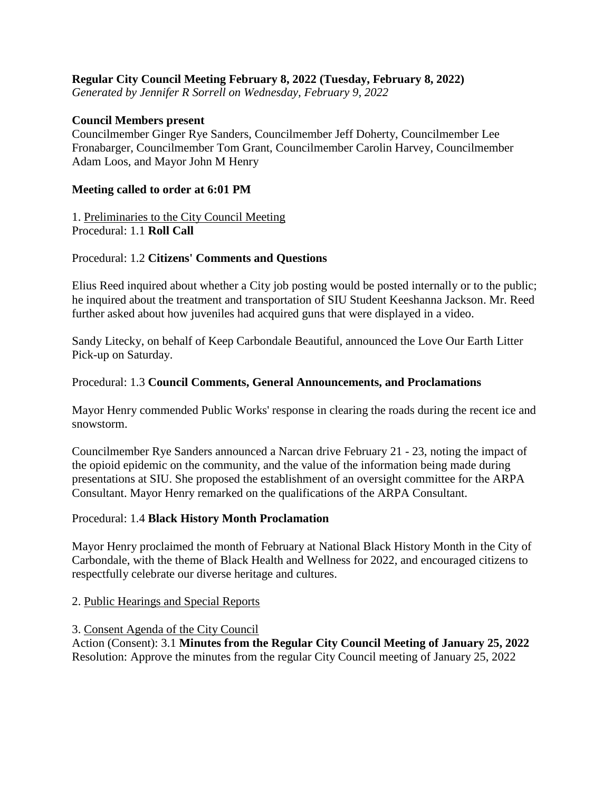## **Regular City Council Meeting February 8, 2022 (Tuesday, February 8, 2022)**

*Generated by Jennifer R Sorrell on Wednesday, February 9, 2022*

### **Council Members present**

Councilmember Ginger Rye Sanders, Councilmember Jeff Doherty, Councilmember Lee Fronabarger, Councilmember Tom Grant, Councilmember Carolin Harvey, Councilmember Adam Loos, and Mayor John M Henry

#### **Meeting called to order at 6:01 PM**

1. Preliminaries to the City Council Meeting Procedural: 1.1 **Roll Call**

### Procedural: 1.2 **Citizens' Comments and Questions**

Elius Reed inquired about whether a City job posting would be posted internally or to the public; he inquired about the treatment and transportation of SIU Student Keeshanna Jackson. Mr. Reed further asked about how juveniles had acquired guns that were displayed in a video.

Sandy Litecky, on behalf of Keep Carbondale Beautiful, announced the Love Our Earth Litter Pick-up on Saturday.

#### Procedural: 1.3 **Council Comments, General Announcements, and Proclamations**

Mayor Henry commended Public Works' response in clearing the roads during the recent ice and snowstorm.

Councilmember Rye Sanders announced a Narcan drive February 21 - 23, noting the impact of the opioid epidemic on the community, and the value of the information being made during presentations at SIU. She proposed the establishment of an oversight committee for the ARPA Consultant. Mayor Henry remarked on the qualifications of the ARPA Consultant.

#### Procedural: 1.4 **Black History Month Proclamation**

Mayor Henry proclaimed the month of February at National Black History Month in the City of Carbondale, with the theme of Black Health and Wellness for 2022, and encouraged citizens to respectfully celebrate our diverse heritage and cultures.

### 2. Public Hearings and Special Reports

#### 3. Consent Agenda of the City Council

Action (Consent): 3.1 **Minutes from the Regular City Council Meeting of January 25, 2022** Resolution: Approve the minutes from the regular City Council meeting of January 25, 2022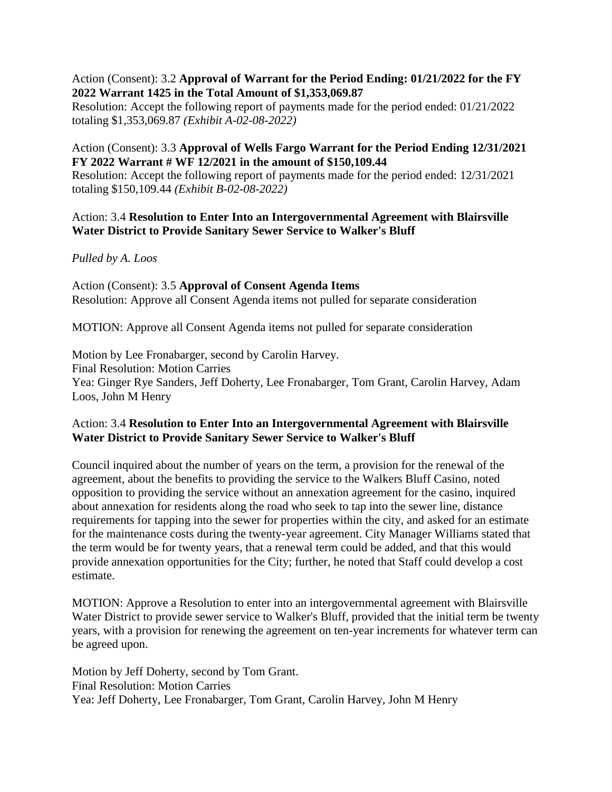## Action (Consent): 3.2 **Approval of Warrant for the Period Ending: 01/21/2022 for the FY 2022 Warrant 1425 in the Total Amount of \$1,353,069.87**

Resolution: Accept the following report of payments made for the period ended: 01/21/2022 totaling \$1,353,069.87 *(Exhibit A-02-08-2022)*

## Action (Consent): 3.3 **Approval of Wells Fargo Warrant for the Period Ending 12/31/2021 FY 2022 Warrant # WF 12/2021 in the amount of \$150,109.44**

Resolution: Accept the following report of payments made for the period ended: 12/31/2021 totaling \$150,109.44 *(Exhibit B-02-08-2022)*

## Action: 3.4 **Resolution to Enter Into an Intergovernmental Agreement with Blairsville Water District to Provide Sanitary Sewer Service to Walker's Bluff**

# *Pulled by A. Loos*

Action (Consent): 3.5 **Approval of Consent Agenda Items** Resolution: Approve all Consent Agenda items not pulled for separate consideration

MOTION: Approve all Consent Agenda items not pulled for separate consideration

Motion by Lee Fronabarger, second by Carolin Harvey. Final Resolution: Motion Carries Yea: Ginger Rye Sanders, Jeff Doherty, Lee Fronabarger, Tom Grant, Carolin Harvey, Adam Loos, John M Henry

# Action: 3.4 **Resolution to Enter Into an Intergovernmental Agreement with Blairsville Water District to Provide Sanitary Sewer Service to Walker's Bluff**

Council inquired about the number of years on the term, a provision for the renewal of the agreement, about the benefits to providing the service to the Walkers Bluff Casino, noted opposition to providing the service without an annexation agreement for the casino, inquired about annexation for residents along the road who seek to tap into the sewer line, distance requirements for tapping into the sewer for properties within the city, and asked for an estimate for the maintenance costs during the twenty-year agreement. City Manager Williams stated that the term would be for twenty years, that a renewal term could be added, and that this would provide annexation opportunities for the City; further, he noted that Staff could develop a cost estimate.

MOTION: Approve a Resolution to enter into an intergovernmental agreement with Blairsville Water District to provide sewer service to Walker's Bluff, provided that the initial term be twenty years, with a provision for renewing the agreement on ten-year increments for whatever term can be agreed upon.

Motion by Jeff Doherty, second by Tom Grant. Final Resolution: Motion Carries Yea: Jeff Doherty, Lee Fronabarger, Tom Grant, Carolin Harvey, John M Henry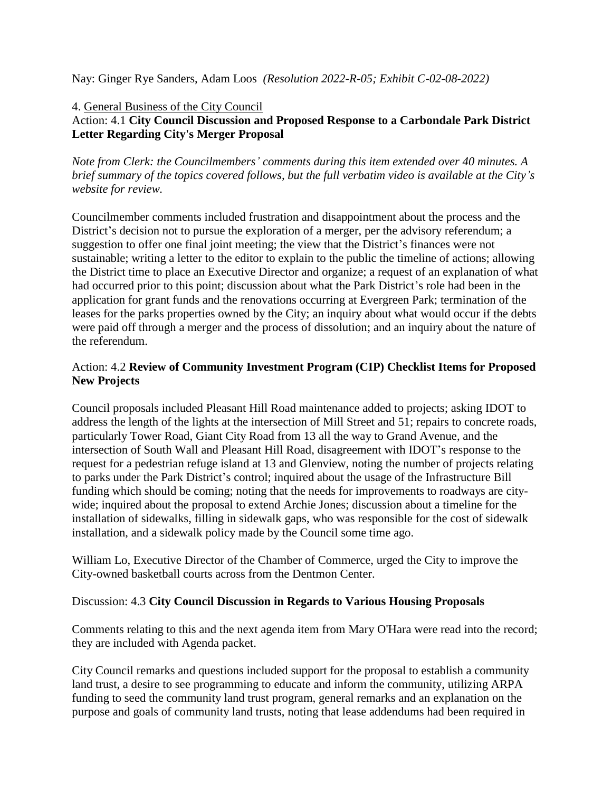Nay: Ginger Rye Sanders, Adam Loos *(Resolution 2022-R-05; Exhibit C-02-08-2022)*

### 4. General Business of the City Council

# Action: 4.1 **City Council Discussion and Proposed Response to a Carbondale Park District Letter Regarding City's Merger Proposal**

*Note from Clerk: the Councilmembers' comments during this item extended over 40 minutes. A brief summary of the topics covered follows, but the full verbatim video is available at the City's website for review.* 

Councilmember comments included frustration and disappointment about the process and the District's decision not to pursue the exploration of a merger, per the advisory referendum; a suggestion to offer one final joint meeting; the view that the District's finances were not sustainable; writing a letter to the editor to explain to the public the timeline of actions; allowing the District time to place an Executive Director and organize; a request of an explanation of what had occurred prior to this point; discussion about what the Park District's role had been in the application for grant funds and the renovations occurring at Evergreen Park; termination of the leases for the parks properties owned by the City; an inquiry about what would occur if the debts were paid off through a merger and the process of dissolution; and an inquiry about the nature of the referendum.

# Action: 4.2 **Review of Community Investment Program (CIP) Checklist Items for Proposed New Projects**

Council proposals included Pleasant Hill Road maintenance added to projects; asking IDOT to address the length of the lights at the intersection of Mill Street and 51; repairs to concrete roads, particularly Tower Road, Giant City Road from 13 all the way to Grand Avenue, and the intersection of South Wall and Pleasant Hill Road, disagreement with IDOT's response to the request for a pedestrian refuge island at 13 and Glenview, noting the number of projects relating to parks under the Park District's control; inquired about the usage of the Infrastructure Bill funding which should be coming; noting that the needs for improvements to roadways are citywide; inquired about the proposal to extend Archie Jones; discussion about a timeline for the installation of sidewalks, filling in sidewalk gaps, who was responsible for the cost of sidewalk installation, and a sidewalk policy made by the Council some time ago.

William Lo, Executive Director of the Chamber of Commerce, urged the City to improve the City-owned basketball courts across from the Dentmon Center.

### Discussion: 4.3 **City Council Discussion in Regards to Various Housing Proposals**

Comments relating to this and the next agenda item from Mary O'Hara were read into the record; they are included with Agenda packet.

City Council remarks and questions included support for the proposal to establish a community land trust, a desire to see programming to educate and inform the community, utilizing ARPA funding to seed the community land trust program, general remarks and an explanation on the purpose and goals of community land trusts, noting that lease addendums had been required in